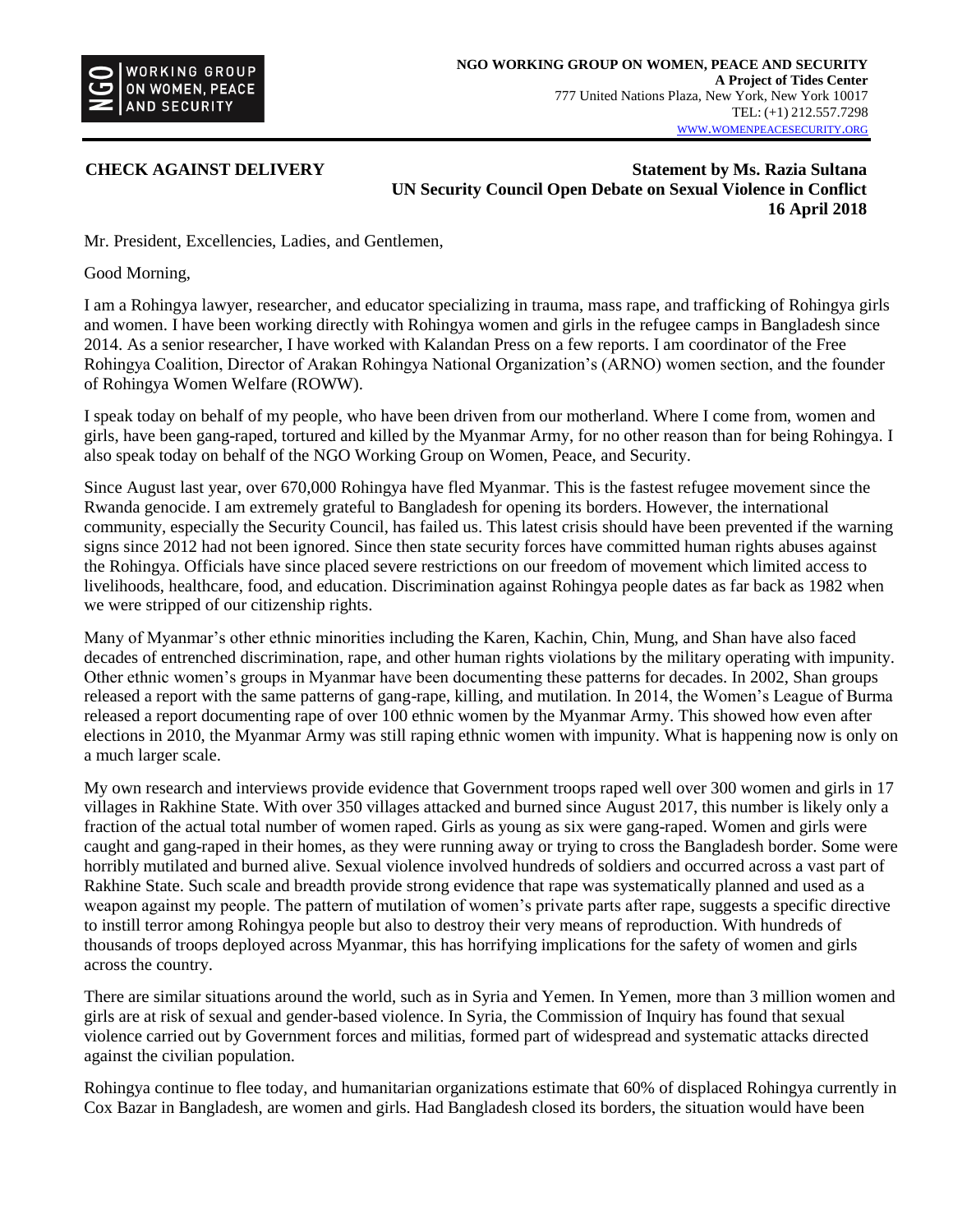

**CHECK AGAINST DELIVERY Statement by Ms. Razia Sultana UN Security Council Open Debate on Sexual Violence in Conflict 16 April 2018**

Mr. President, Excellencies, Ladies, and Gentlemen,

Good Morning,

I am a Rohingya lawyer, researcher, and educator specializing in trauma, mass rape, and trafficking of Rohingya girls and women. I have been working directly with Rohingya women and girls in the refugee camps in Bangladesh since 2014. As a senior researcher, I have worked with Kalandan Press on a few reports. I am coordinator of the Free Rohingya Coalition, Director of Arakan Rohingya National Organization's (ARNO) women section, and the founder of Rohingya Women Welfare (ROWW).

I speak today on behalf of my people, who have been driven from our motherland. Where I come from, women and girls, have been gang-raped, tortured and killed by the Myanmar Army, for no other reason than for being Rohingya. I also speak today on behalf of the NGO Working Group on Women, Peace, and Security.

Since August last year, over 670,000 Rohingya have fled Myanmar. This is the fastest refugee movement since the Rwanda genocide. I am extremely grateful to Bangladesh for opening its borders. However, the international community, especially the Security Council, has failed us. This latest crisis should have been prevented if the warning signs since 2012 had not been ignored. Since then state security forces have committed human rights abuses against the Rohingya. Officials have since placed severe restrictions on our freedom of movement which limited access to livelihoods, healthcare, food, and education. Discrimination against Rohingya people dates as far back as 1982 when we were stripped of our citizenship rights.

Many of Myanmar's other ethnic minorities including the Karen, Kachin, Chin, Mung, and Shan have also faced decades of entrenched discrimination, rape, and other human rights violations by the military operating with impunity. Other ethnic women's groups in Myanmar have been documenting these patterns for decades. In 2002, Shan groups released a report with the same patterns of gang-rape, killing, and mutilation. In 2014, the Women's League of Burma released a report documenting rape of over 100 ethnic women by the Myanmar Army. This showed how even after elections in 2010, the Myanmar Army was still raping ethnic women with impunity. What is happening now is only on a much larger scale.

My own research and interviews provide evidence that Government troops raped well over 300 women and girls in 17 villages in Rakhine State. With over 350 villages attacked and burned since August 2017, this number is likely only a fraction of the actual total number of women raped. Girls as young as six were gang-raped. Women and girls were caught and gang-raped in their homes, as they were running away or trying to cross the Bangladesh border. Some were horribly mutilated and burned alive. Sexual violence involved hundreds of soldiers and occurred across a vast part of Rakhine State. Such scale and breadth provide strong evidence that rape was systematically planned and used as a weapon against my people. The pattern of mutilation of women's private parts after rape, suggests a specific directive to instill terror among Rohingya people but also to destroy their very means of reproduction. With hundreds of thousands of troops deployed across Myanmar, this has horrifying implications for the safety of women and girls across the country.

There are similar situations around the world, such as in Syria and Yemen. In Yemen, more than 3 million women and girls are at risk of sexual and gender-based violence. In Syria, the Commission of Inquiry has found that sexual violence carried out by Government forces and militias, formed part of widespread and systematic attacks directed against the civilian population.

Rohingya continue to flee today, and humanitarian organizations estimate that 60% of displaced Rohingya currently in Cox Bazar in Bangladesh, are women and girls. Had Bangladesh closed its borders, the situation would have been